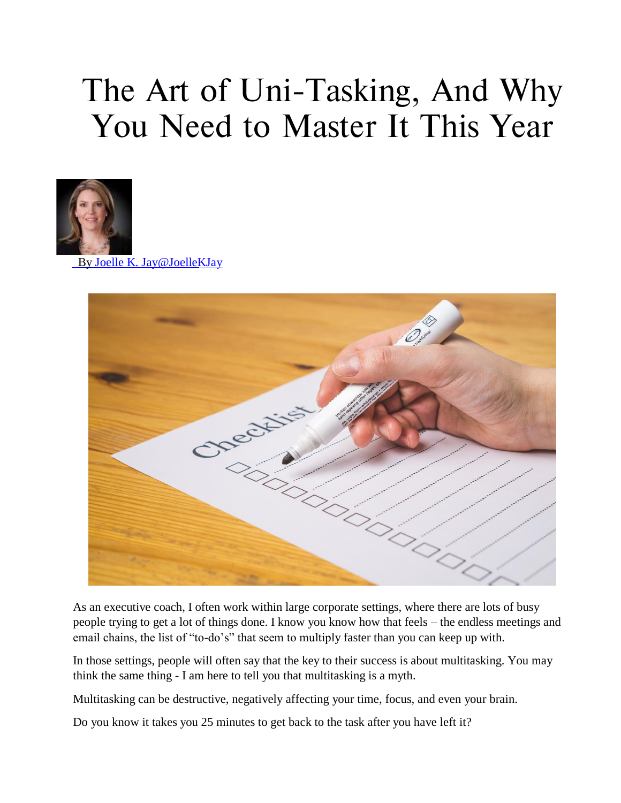## **The Art of Uni-Tasking, And Why You Need to Master It This Year**



By Joelle K. Jay@JoelleKJay



As an executive coach, I often work within large corporate settings, where there are lots of busy people trying to get a lot of things done. I know you know how that feels – the endless meetings and email chains, the list of "to-do's" that seem to multiply faster than you can keep up with.

In those settings, people will often say that the key to their success is about multitasking. You may think the same thing - I am here to tell you that multitasking is a myth.

Multitasking can be destructive, negatively affecting your time, focus, and even your brain.

Do you know it takes you 25 minutes to get back to the task after you have left it?